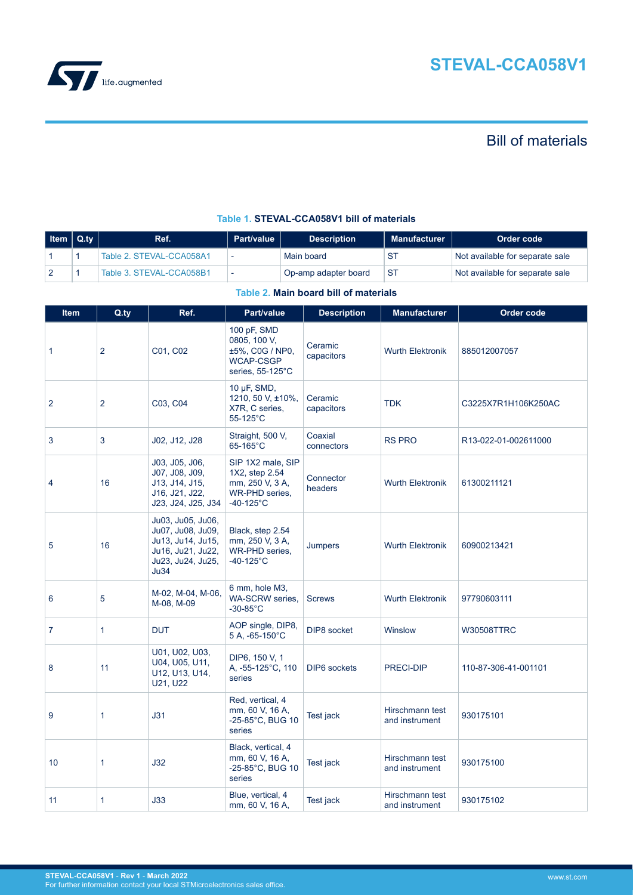

# Bill of materials

| │ Item │ Q.tv │ | Ref.                     | <b>Part/value</b> | <b>Description</b>   | <b>Manufacturer</b> | Order code                      |
|-----------------|--------------------------|-------------------|----------------------|---------------------|---------------------------------|
|                 | Table 2. STEVAL-CCA058A1 |                   | Main board           |                     | Not available for separate sale |
|                 | Table 3. STEVAL-CCA058B1 |                   | Op-amp adapter board | -ST                 | Not available for separate sale |

## **Table 1. STEVAL-CCA058V1 bill of materials**

## **Table 2. Main board bill of materials**

| <b>Item</b>    | $Q_{\cdot}$ ty | Ref.                                                                                                          | Part/value                                                                                       | <b>Description</b>    | <b>Manufacturer</b>               | Order code           |
|----------------|----------------|---------------------------------------------------------------------------------------------------------------|--------------------------------------------------------------------------------------------------|-----------------------|-----------------------------------|----------------------|
| 1              | 2              | C01, C02                                                                                                      | 100 pF, SMD<br>0805, 100 V,<br>±5%, C0G / NP0,<br><b>WCAP-CSGP</b><br>series, $55-125^{\circ}$ C | Ceramic<br>capacitors | <b>Wurth Elektronik</b>           | 885012007057         |
| $\overline{2}$ | $\overline{2}$ | C03, C04                                                                                                      | 10 $\mu$ F, SMD,<br>1210, 50 V, ±10%,<br>X7R, C series,<br>55-125°C                              | Ceramic<br>capacitors | <b>TDK</b>                        | C3225X7R1H106K250AC  |
| 3              | 3              | J02, J12, J28                                                                                                 | Straight, 500 V,<br>65-165°C                                                                     | Coaxial<br>connectors | <b>RS PRO</b>                     | R13-022-01-002611000 |
| 4              | 16             | J03, J05, J06,<br>J07, J08, J09,<br>J13, J14, J15,<br>J16, J21, J22,<br>J23, J24, J25, J34                    | SIP 1X2 male, SIP<br>1X2, step 2.54<br>mm, 250 V, 3 A,<br>WR-PHD series,<br>$-40-125$ °C         | Connector<br>headers  | <b>Wurth Elektronik</b>           | 61300211121          |
| 5              | 16             | Ju03, Ju05, Ju06,<br>Ju07, Ju08, Ju09,<br>Ju13, Ju14, Ju15,<br>Ju16, Ju21, Ju22,<br>Ju23, Ju24, Ju25,<br>Ju34 | Black, step 2.54<br>mm, 250 V, 3 A,<br>WR-PHD series,<br>$-40-125$ °C                            | Jumpers               | <b>Wurth Elektronik</b>           | 60900213421          |
| 6              | 5              | M-02, M-04, M-06,<br>M-08, M-09                                                                               | 6 mm, hole M3,<br>WA-SCRW series,<br>$-30-85^{\circ}$ C                                          | <b>Screws</b>         | <b>Wurth Elektronik</b>           | 97790603111          |
| $\overline{7}$ | 1              | <b>DUT</b>                                                                                                    | AOP single, DIP8,<br>5 A, -65-150°C                                                              | DIP8 socket           | Winslow                           | <b>W30508TTRC</b>    |
| 8              | 11             | U01, U02, U03,<br>U04, U05, U11,<br>U12, U13, U14,<br>U21, U22                                                | DIP6, 150 V, 1<br>A, -55-125°C, 110<br>series                                                    | <b>DIP6</b> sockets   | PRECI-DIP                         | 110-87-306-41-001101 |
| 9              | 1              | J31                                                                                                           | Red, vertical, 4<br>mm, 60 V, 16 A,<br>-25-85°C, BUG 10<br>series                                | Test jack             | Hirschmann test<br>and instrument | 930175101            |
| 10             | 1              | J32                                                                                                           | Black, vertical, 4<br>mm, 60 V, 16 A,<br>-25-85°C, BUG 10<br>series                              | Test jack             | Hirschmann test<br>and instrument | 930175100            |
| 11             | 1              | J33                                                                                                           | Blue, vertical, 4<br>mm, 60 V, 16 A,                                                             | Test jack             | Hirschmann test<br>and instrument | 930175102            |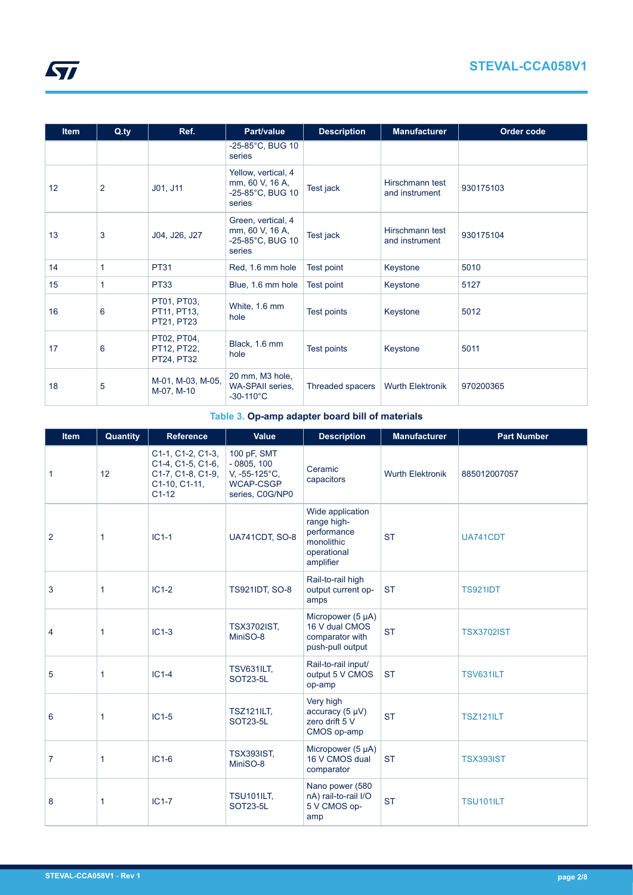<span id="page-1-0"></span>

| <b>Item</b> | $Q_{\cdot}$ ty | Ref.                                     | Part/value                                                           | <b>Description</b> | <b>Manufacturer</b>               | Order code |
|-------------|----------------|------------------------------------------|----------------------------------------------------------------------|--------------------|-----------------------------------|------------|
|             |                |                                          | -25-85°C, BUG 10<br>series                                           |                    |                                   |            |
| 12          | 2              | J01, J11                                 | Yellow, vertical, 4<br>mm, 60 V, 16 A,<br>-25-85°C, BUG 10<br>series | Test jack          | Hirschmann test<br>and instrument | 930175103  |
| 13          | 3              | J04, J26, J27                            | Green, vertical, 4<br>mm, 60 V, 16 A,<br>-25-85°C, BUG 10<br>series  | Test jack          | Hirschmann test<br>and instrument | 930175104  |
| 14          | 1              | <b>PT31</b>                              | Red, 1.6 mm hole                                                     | Test point         | Keystone                          | 5010       |
| 15          | 1              | <b>PT33</b>                              | Blue, 1.6 mm hole                                                    | Test point         | Keystone                          | 5127       |
| 16          | 6              | PT01, PT03,<br>PT11, PT13,<br>PT21, PT23 | White, 1.6 mm<br>hole                                                | Test points        | Keystone                          | 5012       |
| 17          | 6              | PT02, PT04,<br>PT12, PT22,<br>PT24, PT32 | Black, 1.6 mm<br>hole                                                | Test points        | Keystone                          | 5011       |
| 18          | 5              | M-01, M-03, M-05,<br>M-07, M-10          | 20 mm, M3 hole,<br><b>WA-SPAII series,</b><br>$-30-110^{\circ}C$     | Threaded spacers   | <b>Wurth Elektronik</b>           | 970200365  |

# **Table 3. Op-amp adapter board bill of materials**

| <b>Item</b>    | Quantity     | <b>Reference</b>                                                                        | Value                                                                               | <b>Description</b>                                                                       | <b>Manufacturer</b>     | <b>Part Number</b> |
|----------------|--------------|-----------------------------------------------------------------------------------------|-------------------------------------------------------------------------------------|------------------------------------------------------------------------------------------|-------------------------|--------------------|
| 1              | 12           | C1-1, C1-2, C1-3,<br>C1-4, C1-5, C1-6,<br>C1-7, C1-8, C1-9,<br>C1-10, C1-11,<br>$C1-12$ | 100 pF, SMT<br>$-0805, 100$<br>V, -55-125°C,<br><b>WCAP-CSGP</b><br>series, C0G/NP0 | Ceramic<br>capacitors                                                                    | <b>Wurth Elektronik</b> | 885012007057       |
| $\overline{2}$ | 1            | $IC1-1$                                                                                 | UA741CDT, SO-8                                                                      | Wide application<br>range high-<br>performance<br>monolithic<br>operational<br>amplifier | <b>ST</b>               | UA741CDT           |
| 3              | $\mathbf{1}$ | $IC1-2$                                                                                 | <b>TS921IDT, SO-8</b>                                                               | Rail-to-rail high<br>output current op-<br>amps                                          | <b>ST</b>               | <b>TS921IDT</b>    |
| 4              | 1            | $IC1-3$                                                                                 | <b>TSX3702IST,</b><br>MiniSO-8                                                      | Micropower (5 µA)<br>16 V dual CMOS<br>comparator with<br>push-pull output               | <b>ST</b>               | <b>TSX3702IST</b>  |
| 5              | 1            | $IC1-4$                                                                                 | <b>TSV631ILT,</b><br>SOT23-5L                                                       | Rail-to-rail input/<br>output 5 V CMOS<br>op-amp                                         | <b>ST</b>               | <b>TSV631ILT</b>   |
| 6              | 1            | $IC1-5$                                                                                 | <b>TSZ121ILT,</b><br>SOT23-5L                                                       | Very high<br>accuracy $(5 \mu V)$<br>zero drift 5 V<br>CMOS op-amp                       | <b>ST</b>               | <b>TSZ121ILT</b>   |
| $\overline{7}$ | 1            | $IC1-6$                                                                                 | <b>TSX393IST.</b><br>MiniSO-8                                                       | Micropower (5 µA)<br>16 V CMOS dual<br>comparator                                        | <b>ST</b>               | <b>TSX393IST</b>   |
| 8              | 1            | $IC1-7$                                                                                 | <b>TSU101ILT,</b><br>SOT23-5L                                                       | Nano power (580<br>nA) rail-to-rail I/O<br>5 V CMOS op-<br>amp                           | <b>ST</b>               | <b>TSU101ILT</b>   |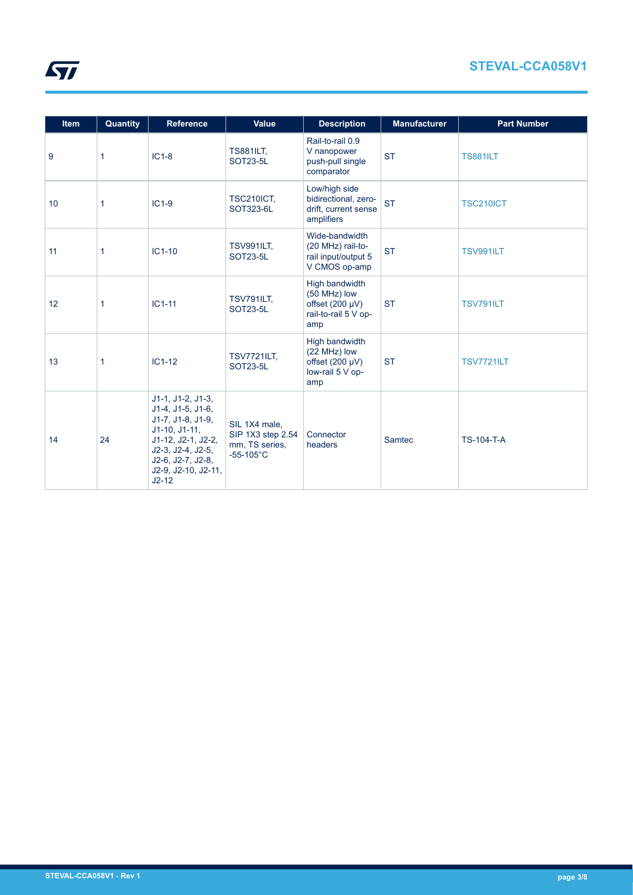| <b>Item</b> | Quantity | <b>Reference</b>                                                                                                                                                                     | Value                                                                       | <b>Description</b>                                                                    | <b>Manufacturer</b> | <b>Part Number</b> |
|-------------|----------|--------------------------------------------------------------------------------------------------------------------------------------------------------------------------------------|-----------------------------------------------------------------------------|---------------------------------------------------------------------------------------|---------------------|--------------------|
| 9           | 1        | $IC1-8$                                                                                                                                                                              | <b>TS881ILT,</b><br><b>SOT23-5L</b>                                         | Rail-to-rail 0.9<br>V nanopower<br>push-pull single<br>comparator                     | <b>ST</b>           | <b>TS881ILT</b>    |
| 10          | 1        | $IC1-9$                                                                                                                                                                              | <b>TSC210ICT,</b><br>SOT323-6L                                              | Low/high side<br>bidirectional, zero-<br>drift, current sense<br>amplifiers           | <b>ST</b>           | <b>TSC210ICT</b>   |
| 11          | 1        | $IC1-10$                                                                                                                                                                             | <b>TSV991ILT,</b><br><b>SOT23-5L</b>                                        | Wide-bandwidth<br>(20 MHz) rail-to-<br>rail input/output 5<br>V CMOS op-amp           | <b>ST</b>           | <b>TSV991ILT</b>   |
| 12          | 1        | $IC1-11$                                                                                                                                                                             | <b>TSV791ILT,</b><br><b>SOT23-5L</b>                                        | High bandwidth<br>(50 MHz) low<br>offset $(200 \mu V)$<br>rail-to-rail 5 V op-<br>amp | <b>ST</b>           | <b>TSV791ILT</b>   |
| 13          | 1        | $IC1-12$                                                                                                                                                                             | <b>TSV7721ILT,</b><br><b>SOT23-5L</b>                                       | High bandwidth<br>(22 MHz) low<br>offset $(200 \mu V)$<br>low-rail 5 V op-<br>amp     | <b>ST</b>           | <b>TSV7721ILT</b>  |
| 14          | 24       | $J1-1, J1-2, J1-3,$<br>J1-4, J1-5, J1-6,<br>J1-7, J1-8, J1-9,<br>$J1-10, J1-11,$<br>J1-12, J2-1, J2-2,<br>$J2-3, J2-4, J2-5,$<br>J2-6, J2-7, J2-8,<br>J2-9, J2-10, J2-11,<br>$J2-12$ | SIL 1X4 male,<br>SIP 1X3 step 2.54<br>mm, TS series,<br>$-55-105^{\circ}$ C | Connector<br>headers                                                                  | Samtec              | <b>TS-104-T-A</b>  |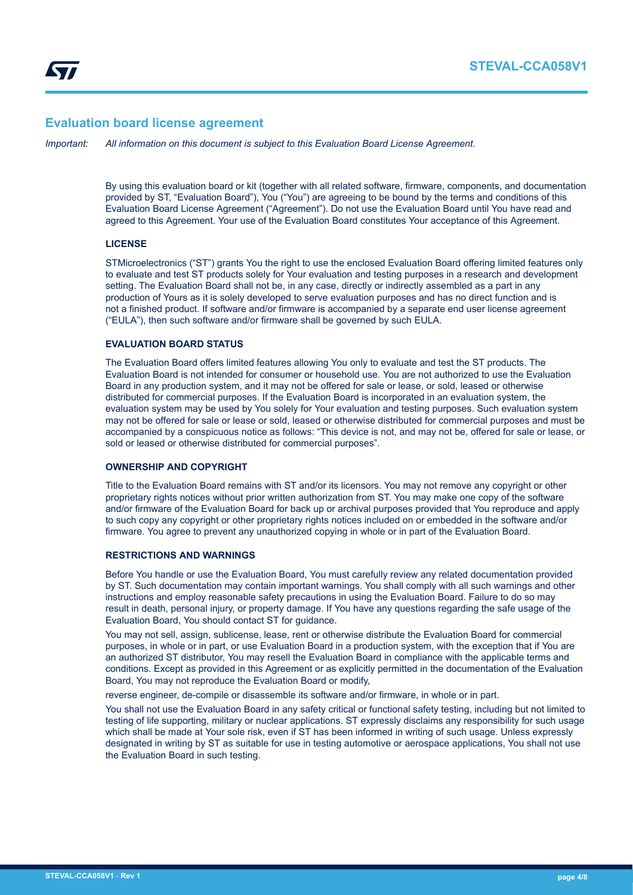## **Evaluation board license agreement**

*Important: All information on this document is subject to this Evaluation Board License Agreement.*

By using this evaluation board or kit (together with all related software, firmware, components, and documentation provided by ST, "Evaluation Board"), You ("You") are agreeing to be bound by the terms and conditions of this Evaluation Board License Agreement ("Agreement"). Do not use the Evaluation Board until You have read and agreed to this Agreement. Your use of the Evaluation Board constitutes Your acceptance of this Agreement.

## **LICENSE**

STMicroelectronics ("ST") grants You the right to use the enclosed Evaluation Board offering limited features only to evaluate and test ST products solely for Your evaluation and testing purposes in a research and development setting. The Evaluation Board shall not be, in any case, directly or indirectly assembled as a part in any production of Yours as it is solely developed to serve evaluation purposes and has no direct function and is not a finished product. If software and/or firmware is accompanied by a separate end user license agreement ("EULA"), then such software and/or firmware shall be governed by such EULA.

## **EVALUATION BOARD STATUS**

The Evaluation Board offers limited features allowing You only to evaluate and test the ST products. The Evaluation Board is not intended for consumer or household use. You are not authorized to use the Evaluation Board in any production system, and it may not be offered for sale or lease, or sold, leased or otherwise distributed for commercial purposes. If the Evaluation Board is incorporated in an evaluation system, the evaluation system may be used by You solely for Your evaluation and testing purposes. Such evaluation system may not be offered for sale or lease or sold, leased or otherwise distributed for commercial purposes and must be accompanied by a conspicuous notice as follows: "This device is not, and may not be, offered for sale or lease, or sold or leased or otherwise distributed for commercial purposes".

## **OWNERSHIP AND COPYRIGHT**

Title to the Evaluation Board remains with ST and/or its licensors. You may not remove any copyright or other proprietary rights notices without prior written authorization from ST. You may make one copy of the software and/or firmware of the Evaluation Board for back up or archival purposes provided that You reproduce and apply to such copy any copyright or other proprietary rights notices included on or embedded in the software and/or firmware. You agree to prevent any unauthorized copying in whole or in part of the Evaluation Board.

#### **RESTRICTIONS AND WARNINGS**

Before You handle or use the Evaluation Board, You must carefully review any related documentation provided by ST. Such documentation may contain important warnings. You shall comply with all such warnings and other instructions and employ reasonable safety precautions in using the Evaluation Board. Failure to do so may result in death, personal injury, or property damage. If You have any questions regarding the safe usage of the Evaluation Board, You should contact ST for guidance.

You may not sell, assign, sublicense, lease, rent or otherwise distribute the Evaluation Board for commercial purposes, in whole or in part, or use Evaluation Board in a production system, with the exception that if You are an authorized ST distributor, You may resell the Evaluation Board in compliance with the applicable terms and conditions. Except as provided in this Agreement or as explicitly permitted in the documentation of the Evaluation Board, You may not reproduce the Evaluation Board or modify,

reverse engineer, de-compile or disassemble its software and/or firmware, in whole or in part.

You shall not use the Evaluation Board in any safety critical or functional safety testing, including but not limited to testing of life supporting, military or nuclear applications. ST expressly disclaims any responsibility for such usage which shall be made at Your sole risk, even if ST has been informed in writing of such usage. Unless expressly designated in writing by ST as suitable for use in testing automotive or aerospace applications, You shall not use the Evaluation Board in such testing.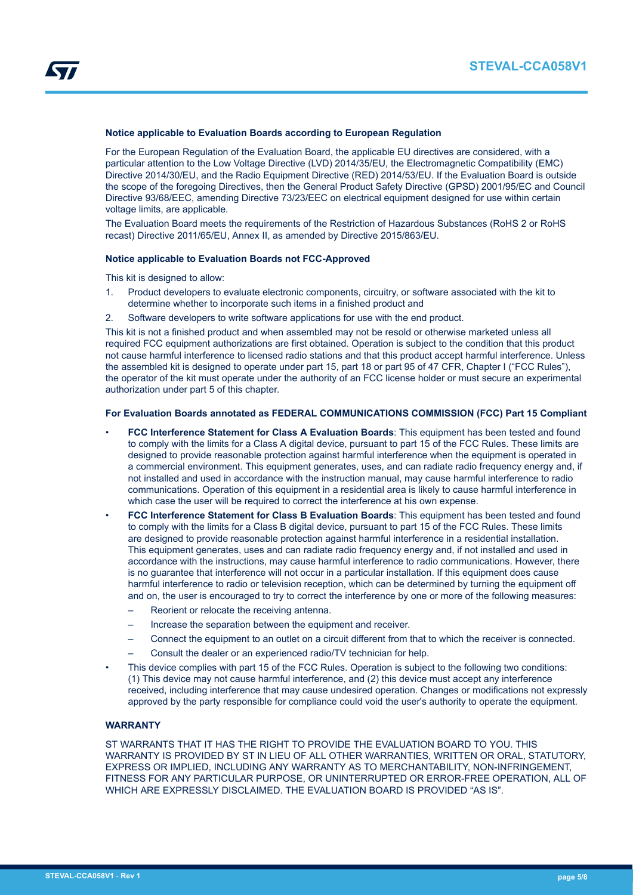

#### **Notice applicable to Evaluation Boards according to European Regulation**

For the European Regulation of the Evaluation Board, the applicable EU directives are considered, with a particular attention to the Low Voltage Directive (LVD) 2014/35/EU, the Electromagnetic Compatibility (EMC) Directive 2014/30/EU, and the Radio Equipment Directive (RED) 2014/53/EU. If the Evaluation Board is outside the scope of the foregoing Directives, then the General Product Safety Directive (GPSD) 2001/95/EC and Council Directive 93/68/EEC, amending Directive 73/23/EEC on electrical equipment designed for use within certain voltage limits, are applicable.

The Evaluation Board meets the requirements of the Restriction of Hazardous Substances (RoHS 2 or RoHS recast) Directive 2011/65/EU, Annex II, as amended by Directive 2015/863/EU.

#### **Notice applicable to Evaluation Boards not FCC-Approved**

This kit is designed to allow:

- 1. Product developers to evaluate electronic components, circuitry, or software associated with the kit to determine whether to incorporate such items in a finished product and
- 2. Software developers to write software applications for use with the end product.

This kit is not a finished product and when assembled may not be resold or otherwise marketed unless all required FCC equipment authorizations are first obtained. Operation is subject to the condition that this product not cause harmful interference to licensed radio stations and that this product accept harmful interference. Unless the assembled kit is designed to operate under part 15, part 18 or part 95 of 47 CFR, Chapter I ("FCC Rules"), the operator of the kit must operate under the authority of an FCC license holder or must secure an experimental authorization under part 5 of this chapter.

## **For Evaluation Boards annotated as FEDERAL COMMUNICATIONS COMMISSION (FCC) Part 15 Compliant**

- **FCC Interference Statement for Class A Evaluation Boards**: This equipment has been tested and found to comply with the limits for a Class A digital device, pursuant to part 15 of the FCC Rules. These limits are designed to provide reasonable protection against harmful interference when the equipment is operated in a commercial environment. This equipment generates, uses, and can radiate radio frequency energy and, if not installed and used in accordance with the instruction manual, may cause harmful interference to radio communications. Operation of this equipment in a residential area is likely to cause harmful interference in which case the user will be required to correct the interference at his own expense.
- **FCC Interference Statement for Class B Evaluation Boards**: This equipment has been tested and found to comply with the limits for a Class B digital device, pursuant to part 15 of the FCC Rules. These limits are designed to provide reasonable protection against harmful interference in a residential installation. This equipment generates, uses and can radiate radio frequency energy and, if not installed and used in accordance with the instructions, may cause harmful interference to radio communications. However, there is no guarantee that interference will not occur in a particular installation. If this equipment does cause harmful interference to radio or television reception, which can be determined by turning the equipment off and on, the user is encouraged to try to correct the interference by one or more of the following measures:
	- Reorient or relocate the receiving antenna.
	- Increase the separation between the equipment and receiver.
	- Connect the equipment to an outlet on a circuit different from that to which the receiver is connected.
	- Consult the dealer or an experienced radio/TV technician for help.
- This device complies with part 15 of the FCC Rules. Operation is subject to the following two conditions: (1) This device may not cause harmful interference, and (2) this device must accept any interference received, including interference that may cause undesired operation. Changes or modifications not expressly approved by the party responsible for compliance could void the user's authority to operate the equipment.

## **WARRANTY**

ST WARRANTS THAT IT HAS THE RIGHT TO PROVIDE THE EVALUATION BOARD TO YOU. THIS WARRANTY IS PROVIDED BY ST IN LIEU OF ALL OTHER WARRANTIES, WRITTEN OR ORAL, STATUTORY, EXPRESS OR IMPLIED, INCLUDING ANY WARRANTY AS TO MERCHANTABILITY, NON-INFRINGEMENT, FITNESS FOR ANY PARTICULAR PURPOSE, OR UNINTERRUPTED OR ERROR-FREE OPERATION, ALL OF WHICH ARE EXPRESSLY DISCLAIMED. THE EVALUATION BOARD IS PROVIDED "AS IS".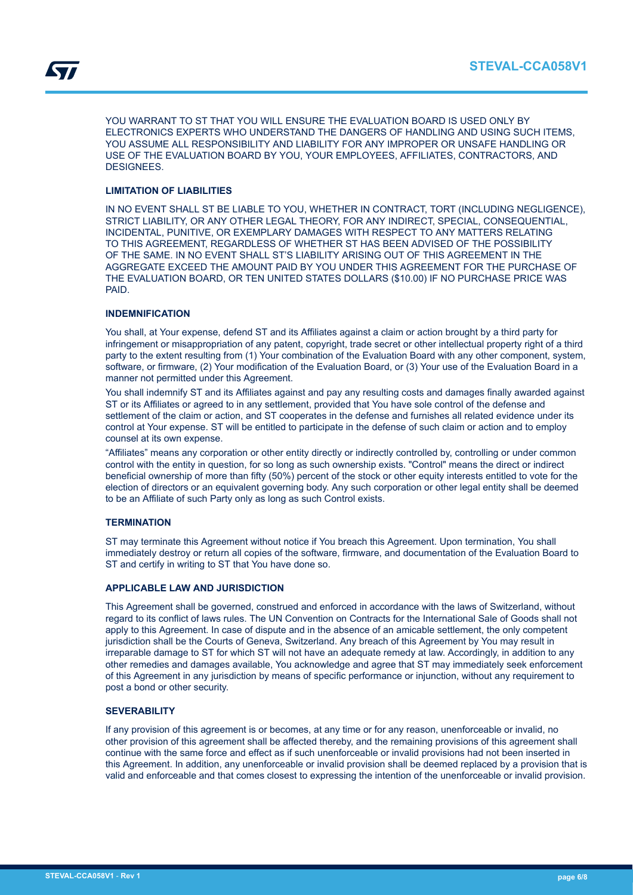YOU WARRANT TO ST THAT YOU WILL ENSURE THE EVALUATION BOARD IS USED ONLY BY ELECTRONICS EXPERTS WHO UNDERSTAND THE DANGERS OF HANDLING AND USING SUCH ITEMS, YOU ASSUME ALL RESPONSIBILITY AND LIABILITY FOR ANY IMPROPER OR UNSAFE HANDLING OR USE OF THE EVALUATION BOARD BY YOU, YOUR EMPLOYEES, AFFILIATES, CONTRACTORS, AND DESIGNEES.

## **LIMITATION OF LIABILITIES**

IN NO EVENT SHALL ST BE LIABLE TO YOU, WHETHER IN CONTRACT, TORT (INCLUDING NEGLIGENCE), STRICT LIABILITY, OR ANY OTHER LEGAL THEORY, FOR ANY INDIRECT, SPECIAL, CONSEQUENTIAL, INCIDENTAL, PUNITIVE, OR EXEMPLARY DAMAGES WITH RESPECT TO ANY MATTERS RELATING TO THIS AGREEMENT, REGARDLESS OF WHETHER ST HAS BEEN ADVISED OF THE POSSIBILITY OF THE SAME. IN NO EVENT SHALL ST'S LIABILITY ARISING OUT OF THIS AGREEMENT IN THE AGGREGATE EXCEED THE AMOUNT PAID BY YOU UNDER THIS AGREEMENT FOR THE PURCHASE OF THE EVALUATION BOARD, OR TEN UNITED STATES DOLLARS (\$10.00) IF NO PURCHASE PRICE WAS PAID.

## **INDEMNIFICATION**

You shall, at Your expense, defend ST and its Affiliates against a claim or action brought by a third party for infringement or misappropriation of any patent, copyright, trade secret or other intellectual property right of a third party to the extent resulting from (1) Your combination of the Evaluation Board with any other component, system, software, or firmware, (2) Your modification of the Evaluation Board, or (3) Your use of the Evaluation Board in a manner not permitted under this Agreement.

You shall indemnify ST and its Affiliates against and pay any resulting costs and damages finally awarded against ST or its Affiliates or agreed to in any settlement, provided that You have sole control of the defense and settlement of the claim or action, and ST cooperates in the defense and furnishes all related evidence under its control at Your expense. ST will be entitled to participate in the defense of such claim or action and to employ counsel at its own expense.

"Affiliates" means any corporation or other entity directly or indirectly controlled by, controlling or under common control with the entity in question, for so long as such ownership exists. "Control" means the direct or indirect beneficial ownership of more than fifty (50%) percent of the stock or other equity interests entitled to vote for the election of directors or an equivalent governing body. Any such corporation or other legal entity shall be deemed to be an Affiliate of such Party only as long as such Control exists.

## **TERMINATION**

ST may terminate this Agreement without notice if You breach this Agreement. Upon termination, You shall immediately destroy or return all copies of the software, firmware, and documentation of the Evaluation Board to ST and certify in writing to ST that You have done so.

## **APPLICABLE LAW AND JURISDICTION**

This Agreement shall be governed, construed and enforced in accordance with the laws of Switzerland, without regard to its conflict of laws rules. The UN Convention on Contracts for the International Sale of Goods shall not apply to this Agreement. In case of dispute and in the absence of an amicable settlement, the only competent jurisdiction shall be the Courts of Geneva, Switzerland. Any breach of this Agreement by You may result in irreparable damage to ST for which ST will not have an adequate remedy at law. Accordingly, in addition to any other remedies and damages available, You acknowledge and agree that ST may immediately seek enforcement of this Agreement in any jurisdiction by means of specific performance or injunction, without any requirement to post a bond or other security.

## **SEVERABILITY**

If any provision of this agreement is or becomes, at any time or for any reason, unenforceable or invalid, no other provision of this agreement shall be affected thereby, and the remaining provisions of this agreement shall continue with the same force and effect as if such unenforceable or invalid provisions had not been inserted in this Agreement. In addition, any unenforceable or invalid provision shall be deemed replaced by a provision that is valid and enforceable and that comes closest to expressing the intention of the unenforceable or invalid provision.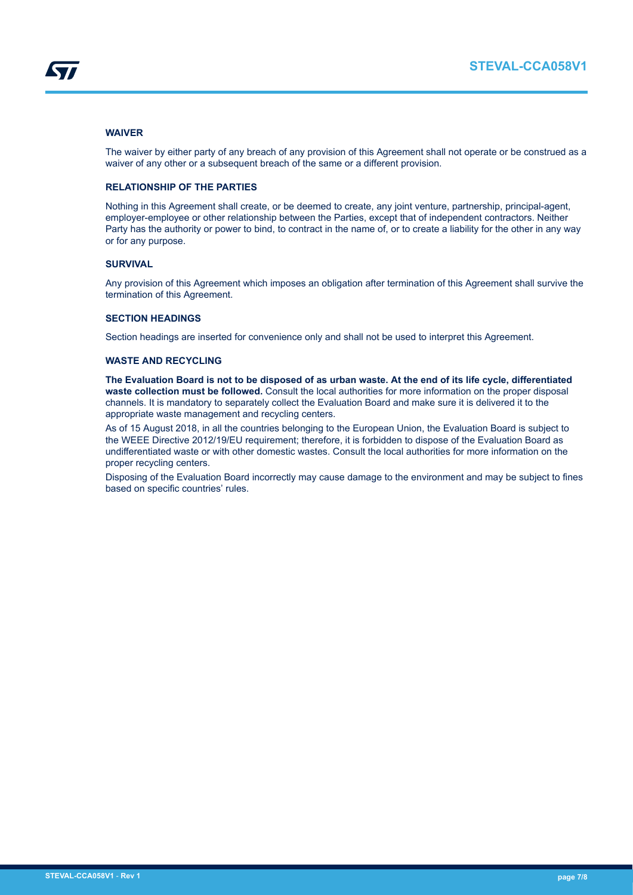## **WAIVER**

The waiver by either party of any breach of any provision of this Agreement shall not operate or be construed as a waiver of any other or a subsequent breach of the same or a different provision.

## **RELATIONSHIP OF THE PARTIES**

Nothing in this Agreement shall create, or be deemed to create, any joint venture, partnership, principal-agent, employer-employee or other relationship between the Parties, except that of independent contractors. Neither Party has the authority or power to bind, to contract in the name of, or to create a liability for the other in any way or for any purpose.

## **SURVIVAL**

Any provision of this Agreement which imposes an obligation after termination of this Agreement shall survive the termination of this Agreement.

## **SECTION HEADINGS**

Section headings are inserted for convenience only and shall not be used to interpret this Agreement.

## **WASTE AND RECYCLING**

**The Evaluation Board is not to be disposed of as urban waste. At the end of its life cycle, differentiated waste collection must be followed.** Consult the local authorities for more information on the proper disposal channels. It is mandatory to separately collect the Evaluation Board and make sure it is delivered it to the appropriate waste management and recycling centers.

As of 15 August 2018, in all the countries belonging to the European Union, the Evaluation Board is subject to the WEEE Directive 2012/19/EU requirement; therefore, it is forbidden to dispose of the Evaluation Board as undifferentiated waste or with other domestic wastes. Consult the local authorities for more information on the proper recycling centers.

Disposing of the Evaluation Board incorrectly may cause damage to the environment and may be subject to fines based on specific countries' rules.